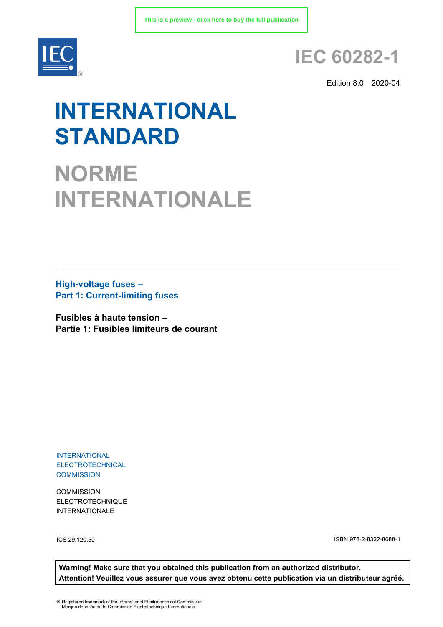

# **IEC 60282-1**

Edition 8.0 2020-04

# **INTERNATIONAL STANDARD**

**NORME INTERNATIONALE**

**High-voltage fuses – Part 1: Current-limiting fuses** 

**Fusibles à haute tension – Partie 1: Fusibles limiteurs de courant**

INTERNATIONAL **ELECTROTECHNICAL COMMISSION** 

**COMMISSION** ELECTROTECHNIQUE INTERNATIONALE

ICS 29.120.50 ISBN 978-2-8322-8088-1

**Warning! Make sure that you obtained this publication from an authorized distributor. Attention! Veuillez vous assurer que vous avez obtenu cette publication via un distributeur agréé.**

® Registered trademark of the International Electrotechnical Commission Marque déposée de la Commission Electrotechnique Internationale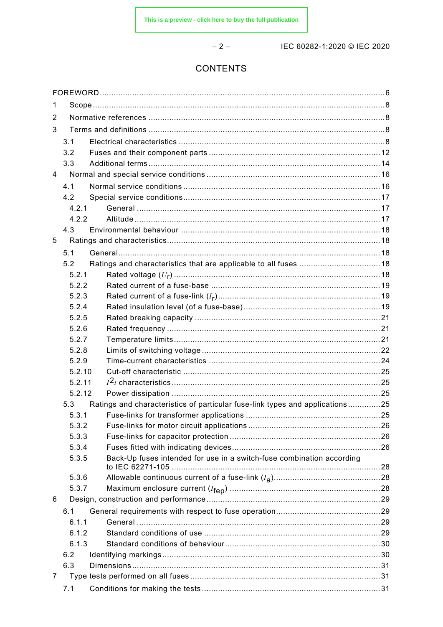$-2-$ 

IEC 60282-1:2020 © IEC 2020

# CONTENTS

| 1 |        |                                                                              |  |
|---|--------|------------------------------------------------------------------------------|--|
| 2 |        |                                                                              |  |
| 3 |        |                                                                              |  |
|   | 3.1    |                                                                              |  |
|   | 3.2    |                                                                              |  |
|   | 3.3    |                                                                              |  |
| 4 |        |                                                                              |  |
|   | 4.1    |                                                                              |  |
|   | 4.2    |                                                                              |  |
|   | 4.2.1  |                                                                              |  |
|   | 4.2.2  |                                                                              |  |
|   | 4.3    |                                                                              |  |
| 5 |        |                                                                              |  |
|   | 5.1    |                                                                              |  |
|   | 5.2    |                                                                              |  |
|   | 5.2.1  |                                                                              |  |
|   | 5.2.2  |                                                                              |  |
|   | 5.2.3  |                                                                              |  |
|   | 5.2.4  |                                                                              |  |
|   | 5.2.5  |                                                                              |  |
|   | 5.2.6  |                                                                              |  |
|   | 5.2.7  |                                                                              |  |
|   | 5.2.8  |                                                                              |  |
|   | 5.2.9  |                                                                              |  |
|   | 5.2.10 |                                                                              |  |
|   | 5.2.11 |                                                                              |  |
|   | 5.2.12 |                                                                              |  |
|   | 5.3    | Ratings and characteristics of particular fuse-link types and applications25 |  |
|   | 5.3.1  |                                                                              |  |
|   | 5.3.2  |                                                                              |  |
|   | 5.3.3  |                                                                              |  |
|   | 5.3.4  |                                                                              |  |
|   | 5.3.5  | Back-Up fuses intended for use in a switch-fuse combination according        |  |
|   | 5.3.6  |                                                                              |  |
|   | 5.3.7  |                                                                              |  |
| 6 |        |                                                                              |  |
|   | 6.1    |                                                                              |  |
|   | 6.1.1  |                                                                              |  |
|   | 6.1.2  |                                                                              |  |
|   | 6.1.3  |                                                                              |  |
|   | 6.2    |                                                                              |  |
|   | 6.3    |                                                                              |  |
| 7 |        |                                                                              |  |
|   | 7.1    |                                                                              |  |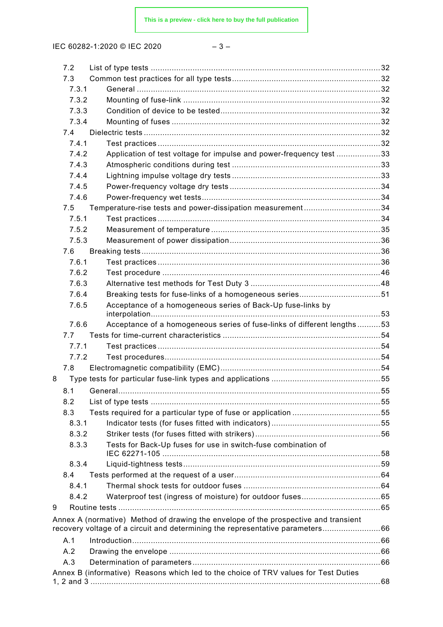IEC 60282-1:2020 © IEC 2020 – 3 –

|   | 7.2   |                                                                                                                                                                      |  |
|---|-------|----------------------------------------------------------------------------------------------------------------------------------------------------------------------|--|
|   | 7.3   |                                                                                                                                                                      |  |
|   | 7.3.1 |                                                                                                                                                                      |  |
|   | 7.3.2 |                                                                                                                                                                      |  |
|   | 7.3.3 |                                                                                                                                                                      |  |
|   | 7.3.4 |                                                                                                                                                                      |  |
|   | 7.4   |                                                                                                                                                                      |  |
|   | 7.4.1 |                                                                                                                                                                      |  |
|   | 7.4.2 | Application of test voltage for impulse and power-frequency test 33                                                                                                  |  |
|   | 7.4.3 |                                                                                                                                                                      |  |
|   | 7.4.4 |                                                                                                                                                                      |  |
|   | 7.4.5 |                                                                                                                                                                      |  |
|   | 7.4.6 |                                                                                                                                                                      |  |
|   | 7.5   | Temperature-rise tests and power-dissipation measurement34                                                                                                           |  |
|   | 7.5.1 |                                                                                                                                                                      |  |
|   | 7.5.2 |                                                                                                                                                                      |  |
|   | 7.5.3 |                                                                                                                                                                      |  |
|   | 7.6   |                                                                                                                                                                      |  |
|   | 7.6.1 |                                                                                                                                                                      |  |
|   | 7.6.2 |                                                                                                                                                                      |  |
|   | 7.6.3 |                                                                                                                                                                      |  |
|   | 7.6.4 |                                                                                                                                                                      |  |
|   | 7.6.5 | Acceptance of a homogeneous series of Back-Up fuse-links by                                                                                                          |  |
|   | 7.6.6 | Acceptance of a homogeneous series of fuse-links of different lengths53                                                                                              |  |
|   | 7.7   |                                                                                                                                                                      |  |
|   | 7.7.1 |                                                                                                                                                                      |  |
|   | 7.7.2 |                                                                                                                                                                      |  |
|   | 7.8   |                                                                                                                                                                      |  |
| 8 |       |                                                                                                                                                                      |  |
|   |       |                                                                                                                                                                      |  |
|   | 8.2   |                                                                                                                                                                      |  |
|   | 8.3   |                                                                                                                                                                      |  |
|   | 8.3.1 |                                                                                                                                                                      |  |
|   | 8.3.2 |                                                                                                                                                                      |  |
|   | 8.3.3 | Tests for Back-Up fuses for use in switch-fuse combination of                                                                                                        |  |
|   | 8.3.4 |                                                                                                                                                                      |  |
|   | 8.4   |                                                                                                                                                                      |  |
|   | 8.4.1 |                                                                                                                                                                      |  |
|   | 8.4.2 |                                                                                                                                                                      |  |
| 9 |       |                                                                                                                                                                      |  |
|   |       | Annex A (normative) Method of drawing the envelope of the prospective and transient<br>recovery voltage of a circuit and determining the representative parameters66 |  |
|   | A.1   |                                                                                                                                                                      |  |
|   | A.2   |                                                                                                                                                                      |  |
|   | A.3   |                                                                                                                                                                      |  |
|   |       | Annex B (informative) Reasons which led to the choice of TRV values for Test Duties                                                                                  |  |
|   |       |                                                                                                                                                                      |  |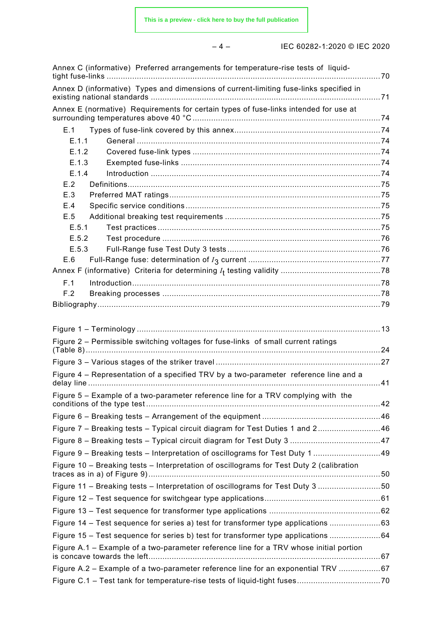# – 4 – IEC 60282-1:2020 © IEC 2020

| Annex C (informative) Preferred arrangements for temperature-rise tests of liquid-       |  |
|------------------------------------------------------------------------------------------|--|
| Annex D (informative) Types and dimensions of current-limiting fuse-links specified in   |  |
| Annex E (normative) Requirements for certain types of fuse-links intended for use at     |  |
| E.1                                                                                      |  |
| E.1.1                                                                                    |  |
| E.1.2                                                                                    |  |
| E.1.3                                                                                    |  |
| E.1.4                                                                                    |  |
| E.2                                                                                      |  |
| E.3                                                                                      |  |
| E.4                                                                                      |  |
| E.5                                                                                      |  |
| E.5.1<br>E.5.2                                                                           |  |
| E.5.3                                                                                    |  |
| E.6                                                                                      |  |
|                                                                                          |  |
| F.1                                                                                      |  |
| F.2                                                                                      |  |
|                                                                                          |  |
|                                                                                          |  |
|                                                                                          |  |
| Figure 2 - Permissible switching voltages for fuse-links of small current ratings        |  |
|                                                                                          |  |
|                                                                                          |  |
| Figure 4 - Representation of a specified TRV by a two-parameter reference line and a     |  |
| Figure 5 – Example of a two-parameter reference line for a TRV complying with the        |  |
|                                                                                          |  |
|                                                                                          |  |
| Figure 7 - Breaking tests - Typical circuit diagram for Test Duties 1 and 246            |  |
|                                                                                          |  |
| Figure 9 - Breaking tests - Interpretation of oscillograms for Test Duty 1 49            |  |
| Figure 10 - Breaking tests - Interpretation of oscillograms for Test Duty 2 (calibration |  |
| Figure 11 - Breaking tests - Interpretation of oscillograms for Test Duty 3 50           |  |
|                                                                                          |  |
|                                                                                          |  |
| Figure 14 - Test sequence for series a) test for transformer type applications 63        |  |
|                                                                                          |  |
| Figure 15 - Test sequence for series b) test for transformer type applications 64        |  |
| Figure A.1 - Example of a two-parameter reference line for a TRV whose initial portion   |  |
| Figure A.2 - Example of a two-parameter reference line for an exponential TRV 67         |  |
|                                                                                          |  |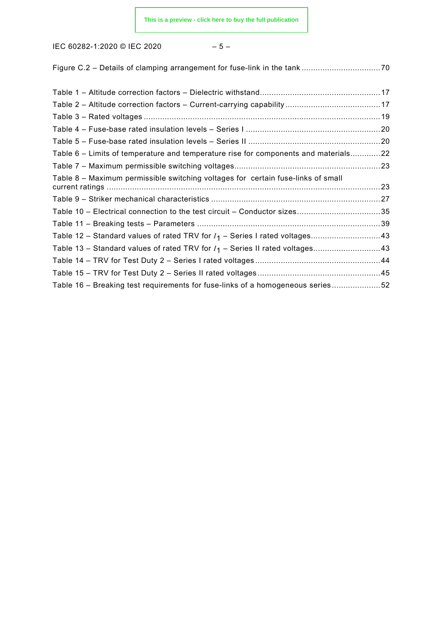IEC 60282-1:2020 © IEC 2020 – 5 –

| Table 6 - Limits of temperature and temperature rise for components and materials22 |  |
|-------------------------------------------------------------------------------------|--|
|                                                                                     |  |
| Table 8 - Maximum permissible switching voltages for certain fuse-links of small    |  |
|                                                                                     |  |
| Table 10 - Electrical connection to the test circuit - Conductor sizes35            |  |
|                                                                                     |  |
| Table 12 - Standard values of rated TRV for $I_1$ - Series I rated voltages43       |  |
| Table 13 - Standard values of rated TRV for $I_1$ - Series II rated voltages43      |  |
|                                                                                     |  |
|                                                                                     |  |
| Table 16 - Breaking test requirements for fuse-links of a homogeneous series52      |  |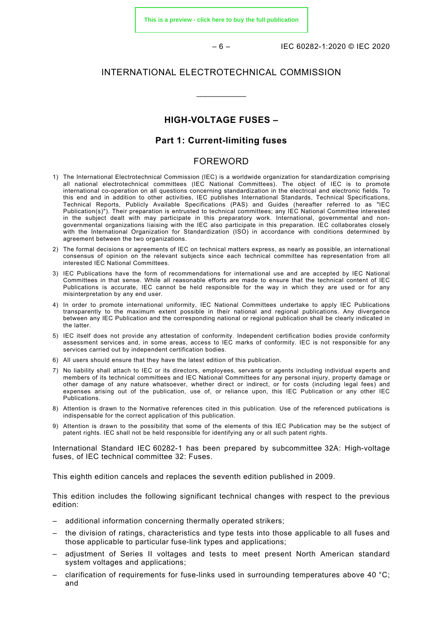**[This is a preview - click here to buy the full publication](https://webstore.iec.ch/publication/59817&preview)**

– 6 – IEC 60282-1:2020 © IEC 2020

#### INTERNATIONAL ELECTROTECHNICAL COMMISSION

\_\_\_\_\_\_\_\_\_\_\_\_

#### **HIGH-VOLTAGE FUSES –**

#### **Part 1: Current-limiting fuses**

#### FOREWORD

- <span id="page-5-0"></span>1) The International Electrotechnical Commission (IEC) is a worldwide organization for standardization comprising all national electrotechnical committees (IEC National Committees). The object of IEC is to promote international co-operation on all questions concerning standardization in the electrical and electronic fields. To this end and in addition to other activities, IEC publishes International Standards, Technical Specifications, Technical Reports, Publicly Available Specifications (PAS) and Guides (hereafter referred to as "IEC Publication(s)"). Their preparation is entrusted to technical committees; any IEC National Committee interested in the subject dealt with may participate in this preparatory work. International, governmental and nongovernmental organizations liaising with the IEC also participate in this preparation. IEC collaborates closely with the International Organization for Standardization (ISO) in accordance with conditions determined by agreement between the two organizations.
- 2) The formal decisions or agreements of IEC on technical matters express, as nearly as possible, an international consensus of opinion on the relevant subjects since each technical committee has representation from all interested IEC National Committees.
- 3) IEC Publications have the form of recommendations for international use and are accepted by IEC National Committees in that sense. While all reasonable efforts are made to ensure that the technical content of IEC Publications is accurate, IEC cannot be held responsible for the way in which they are used or for any misinterpretation by any end user.
- 4) In order to promote international uniformity, IEC National Committees undertake to apply IEC Publications transparently to the maximum extent possible in their national and regional publications. Any divergence between any IEC Publication and the corresponding national or regional publication shall be clearly indicated in the latter.
- 5) IEC itself does not provide any attestation of conformity. Independent certification bodies provide conformity assessment services and, in some areas, access to IEC marks of conformity. IEC is not responsible for any services carried out by independent certification bodies.
- 6) All users should ensure that they have the latest edition of this publication.
- 7) No liability shall attach to IEC or its directors, employees, servants or agents including individual experts and members of its technical committees and IEC National Committees for any personal injury, property damage or other damage of any nature whatsoever, whether direct or indirect, or for costs (including legal fees) and expenses arising out of the publication, use of, or reliance upon, this IEC Publication or any other IEC Publications.
- 8) Attention is drawn to the Normative references cited in this publication. Use of the referenced publications is indispensable for the correct application of this publication.
- 9) Attention is drawn to the possibility that some of the elements of this IEC Publication may be the subject of patent rights. IEC shall not be held responsible for identifying any or all such patent rights.

International Standard IEC 60282-1 has been prepared by subcommittee 32A: High-voltage fuses, of IEC technical committee 32: Fuses.

This eighth edition cancels and replaces the seventh edition published in 2009.

This edition includes the following significant technical changes with respect to the previous edition:

- additional information concerning thermally operated strikers;
- the division of ratings, characteristics and type tests into those applicable to all fuses and those applicable to particular fuse-link types and applications;
- adjustment of Series II voltages and tests to meet present North American standard system voltages and applications;
- clarification of requirements for fuse-links used in surrounding temperatures above 40 °C; and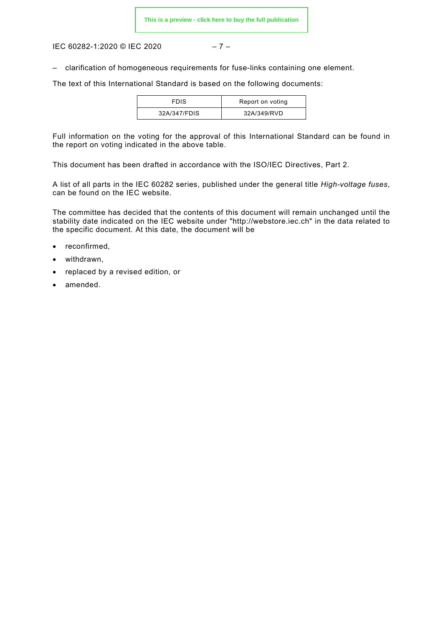IEC 60282-1:2020 © IEC 2020 – 7 –

– clarification of homogeneous requirements for fuse-links containing one element.

The text of this International Standard is based on the following documents:

| <b>FDIS</b>  | Report on voting |
|--------------|------------------|
| 32A/347/FDIS | 32A/349/RVD      |

Full information on the voting for the approval of this International Standard can be found in the report on voting indicated in the above table.

This document has been drafted in accordance with the ISO/IEC Directives, Part 2.

A list of all parts in the IEC 60282 series, published under the general title *High-voltage fuses*, can be found on the IEC website.

The committee has decided that the contents of this document will remain unchanged until the stability date indicated on the IEC website under "http://webstore.iec.ch" in the data related to the specific document. At this date, the document will be

- reconfirmed,
- withdrawn,
- replaced by a revised edition, or
- amended.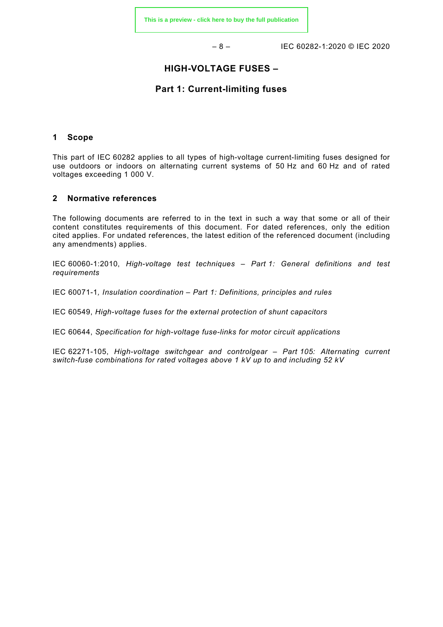– 8 – IEC 60282-1:2020 © IEC 2020

## **HIGH-VOLTAGE FUSES –**

#### **Part 1: Current-limiting fuses**

#### <span id="page-7-0"></span>**1 Scope**

This part of IEC 60282 applies to all types of high-voltage current-limiting fuses designed for use outdoors or indoors on alternating current systems of 50 Hz and 60 Hz and of rated voltages exceeding 1 000 V.

#### <span id="page-7-1"></span>**2 Normative references**

The following documents are referred to in the text in such a way that some or all of their content constitutes requirements of this document. For dated references, only the edition cited applies. For undated references, the latest edition of the referenced document (including any amendments) applies.

IEC 60060-1:2010, *High-voltage test techniques – Part 1: General definitions and test requirements*

IEC 60071-1*, Insulation coordination – Part 1: Definitions, principles and rules* 

IEC 60549, *High-voltage fuses for the external protection of shunt capacitors*

IEC 60644, *Specification for high-voltage fuse-links for motor circuit applications*

<span id="page-7-3"></span><span id="page-7-2"></span>IEC 62271-105, *High-voltage switchgear and controlgear – Part 105: Alternating current switch-fuse combinations for rated voltages above 1 kV up to and including 52 kV*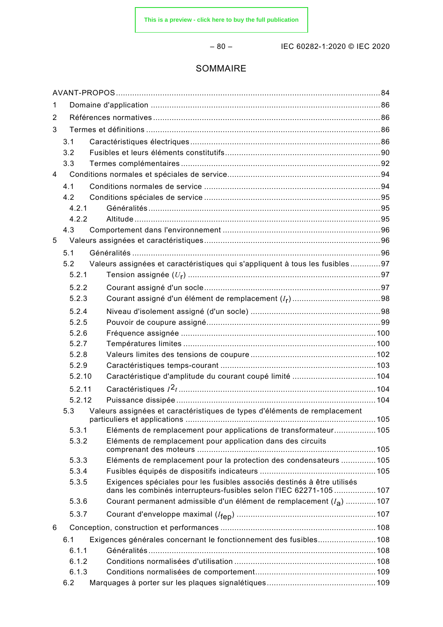– 80 – IEC 60282-1:2020 © IEC 2020

# SOMMAIRE

| 1 |              |                                                                              |      |
|---|--------------|------------------------------------------------------------------------------|------|
| 2 |              |                                                                              |      |
| 3 |              |                                                                              |      |
|   | 3.1          |                                                                              |      |
|   | 3.2          |                                                                              |      |
|   | 3.3          |                                                                              |      |
| 4 |              |                                                                              |      |
|   | 4.1          |                                                                              |      |
|   | 4.2          |                                                                              |      |
|   | 4.2.1        |                                                                              |      |
|   | 4.2.2        |                                                                              |      |
|   | 4.3          |                                                                              |      |
| 5 |              |                                                                              |      |
|   | 5.1          |                                                                              |      |
|   | 5.2          | Valeurs assignées et caractéristiques qui s'appliquent à tous les fusibles97 |      |
|   | 5.2.1        |                                                                              |      |
|   | 5.2.2        |                                                                              |      |
|   | 5.2.3        |                                                                              |      |
|   | 5.2.4        |                                                                              |      |
|   | 5.2.5        |                                                                              |      |
|   | 5.2.6        |                                                                              |      |
|   | 5.2.7        |                                                                              |      |
|   | 5.2.8        |                                                                              |      |
|   | 5.2.9        |                                                                              |      |
|   | 5.2.10       |                                                                              |      |
|   | 5.2.11       |                                                                              |      |
|   | 5.2.12       |                                                                              |      |
|   | 5.3          | Valeurs assignées et caractéristiques de types d'éléments de remplacement    | .105 |
|   | 5.3.1        | Eléments de remplacement pour applications de transformateur105              |      |
|   | 5.3.2        | Eléments de remplacement pour application dans des circuits                  |      |
|   | 5.3.3        | Eléments de remplacement pour la protection des condensateurs  105           |      |
|   | 5.3.4        |                                                                              |      |
|   | 5.3.5        | Exigences spéciales pour les fusibles associés destinés à être utilisés      |      |
|   |              | dans les combinés interrupteurs-fusibles selon l'IEC 62271-105  107          |      |
|   | 5.3.6        | Courant permanent admissible d'un élément de remplacement $(Ia)$ 107         |      |
|   | 5.3.7        |                                                                              |      |
| 6 |              |                                                                              |      |
|   | 6.1          | Exigences générales concernant le fonctionnement des fusibles 108            |      |
|   | 6.1.1        |                                                                              |      |
|   | 6.1.2        |                                                                              |      |
|   | 6.1.3<br>6.2 |                                                                              |      |
|   |              |                                                                              |      |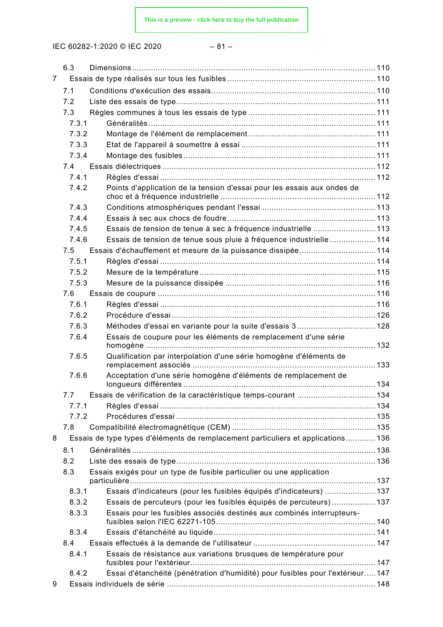IEC 60282-1:2020 © IEC 2020 – 81 –

|                | 6.3   |                                                                                 |  |
|----------------|-------|---------------------------------------------------------------------------------|--|
| $\overline{7}$ |       |                                                                                 |  |
|                | 7.1   |                                                                                 |  |
|                | 7.2   |                                                                                 |  |
|                | 7.3   |                                                                                 |  |
|                | 7.3.1 |                                                                                 |  |
|                | 7.3.2 |                                                                                 |  |
|                | 7.3.3 |                                                                                 |  |
|                | 7.3.4 |                                                                                 |  |
|                | 7.4   |                                                                                 |  |
|                |       |                                                                                 |  |
|                | 7.4.1 |                                                                                 |  |
|                | 7.4.2 | Points d'application de la tension d'essai pour les essais aux ondes de         |  |
|                |       |                                                                                 |  |
|                | 7.4.3 |                                                                                 |  |
|                | 744   |                                                                                 |  |
|                | 7.4.5 | Essais de tension de tenue à sec à fréquence industrielle 113                   |  |
|                | 7.4.6 | Essais de tension de tenue sous pluie à fréquence industrielle  114             |  |
|                | 7.5   | Essais d'échauffement et mesure de la puissance dissipée114                     |  |
|                | 7.5.1 |                                                                                 |  |
|                | 7.5.2 |                                                                                 |  |
|                | 7.5.3 |                                                                                 |  |
|                | 7.6   |                                                                                 |  |
|                | 7.6.1 |                                                                                 |  |
|                | 7.6.2 |                                                                                 |  |
|                | 7.6.3 |                                                                                 |  |
|                |       | Méthodes d'essai en variante pour la suite d'essais 3 128                       |  |
|                | 7.6.4 | Essais de coupure pour les éléments de remplacement d'une série                 |  |
|                | 7.6.5 | Qualification par interpolation d'une série homogène d'éléments de              |  |
|                | 7.6.6 | Acceptation d'une série homogène d'éléments de remplacement de                  |  |
|                | 7.7   | Essais de vérification de la caractéristique temps-courant  134                 |  |
|                | 7.7.1 |                                                                                 |  |
|                | 7.7.2 |                                                                                 |  |
|                | 7.8   |                                                                                 |  |
|                |       |                                                                                 |  |
| 8              |       | Essais de type types d'éléments de remplacement particuliers et applications136 |  |
|                | 8.1   |                                                                                 |  |
|                | 8.2   |                                                                                 |  |
|                | 8.3   | Essais exigés pour un type de fusible particulier ou une application            |  |
|                | 8.3.1 | Essais d'indicateurs (pour les fusibles équipés d'indicateurs)  137             |  |
|                | 8.3.2 | Essais de percuteurs (pour les fusibles équipés de percuteurs)137               |  |
|                | 8.3.3 | Essais pour les fusibles associés destinés aux combinés interrupteurs-          |  |
|                | 8.3.4 |                                                                                 |  |
|                |       |                                                                                 |  |
|                | 8.4   |                                                                                 |  |
|                | 8.4.1 | Essais de résistance aux variations brusques de température pour                |  |
|                | 8.4.2 | Essai d'étanchéité (pénétration d'humidité) pour fusibles pour l'extérieur147   |  |
| 9              |       |                                                                                 |  |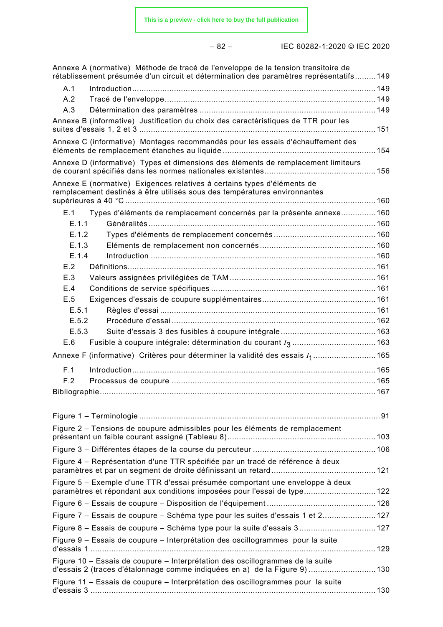|  | ٠ |  |
|--|---|--|
|--|---|--|

– 82 – IEC 60282-1:2020 © IEC 2020

|       | Annexe A (normative) Méthode de tracé de l'enveloppe de la tension transitoire de<br>rétablissement présumée d'un circuit et détermination des paramètres représentatifs 149 |  |
|-------|------------------------------------------------------------------------------------------------------------------------------------------------------------------------------|--|
| A.1   |                                                                                                                                                                              |  |
| A.2   |                                                                                                                                                                              |  |
| A.3   |                                                                                                                                                                              |  |
|       | Annexe B (informative) Justification du choix des caractéristiques de TTR pour les                                                                                           |  |
|       | Annexe C (informative) Montages recommandés pour les essais d'échauffement des                                                                                               |  |
|       | Annexe D (informative) Types et dimensions des éléments de remplacement limiteurs                                                                                            |  |
|       | Annexe E (normative) Exigences relatives à certains types d'éléments de<br>remplacement destinés à être utilisés sous des températures environnantes                         |  |
| E.1   | Types d'éléments de remplacement concernés par la présente annexe160                                                                                                         |  |
| E.1.1 |                                                                                                                                                                              |  |
| E.1.2 |                                                                                                                                                                              |  |
| E.1.3 |                                                                                                                                                                              |  |
| E.1.4 |                                                                                                                                                                              |  |
| E.2   |                                                                                                                                                                              |  |
| E.3   |                                                                                                                                                                              |  |
| E.4   |                                                                                                                                                                              |  |
| E.5   |                                                                                                                                                                              |  |
| E.5.1 |                                                                                                                                                                              |  |
| E.5.2 |                                                                                                                                                                              |  |
| E.5.3 |                                                                                                                                                                              |  |
| E.6   |                                                                                                                                                                              |  |
|       | Annexe F (informative) Critères pour déterminer la validité des essais It  165                                                                                               |  |
| F.1   | Introduction 165                                                                                                                                                             |  |
| F.2   |                                                                                                                                                                              |  |
|       |                                                                                                                                                                              |  |
|       |                                                                                                                                                                              |  |
|       |                                                                                                                                                                              |  |
|       | Figure 2 – Tensions de coupure admissibles pour les éléments de remplacement                                                                                                 |  |
|       |                                                                                                                                                                              |  |
|       | Figure 4 - Représentation d'une TTR spécifiée par un tracé de référence à deux                                                                                               |  |
|       | Figure 5 – Exemple d'une TTR d'essai présumée comportant une enveloppe à deux<br>paramètres et répondant aux conditions imposées pour l'essai de type 122                    |  |
|       |                                                                                                                                                                              |  |
|       | Figure 7 - Essais de coupure - Schéma type pour les suites d'essais 1 et 2 127                                                                                               |  |
|       | Figure 8 - Essais de coupure - Schéma type pour la suite d'essais 3  127                                                                                                     |  |
|       |                                                                                                                                                                              |  |
|       | Figure 9 - Essais de coupure - Interprétation des oscillogrammes pour la suite                                                                                               |  |
|       | Figure 10 - Essais de coupure - Interprétation des oscillogrammes de la suite<br>d'essais 2 (traces d'étalonnage comme indiquées en a) de la Figure 9) 130                   |  |
|       | Figure 11 - Essais de coupure - Interprétation des oscillogrammes pour la suite                                                                                              |  |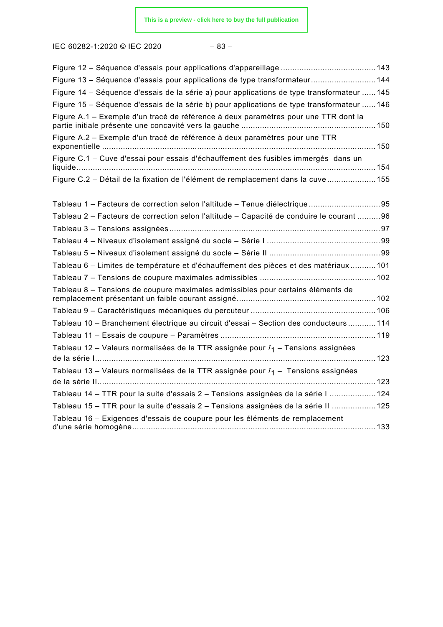IEC 60282-1:2020 © IEC 2020 – 83 –

| Figure 13 - Séquence d'essais pour applications de type transformateur 144                 |  |
|--------------------------------------------------------------------------------------------|--|
| Figure 14 – Séquence d'essais de la série a) pour applications de type transformateur  145 |  |
| Figure 15 - Séquence d'essais de la série b) pour applications de type transformateur  146 |  |
| Figure A.1 - Exemple d'un tracé de référence à deux paramètres pour une TTR dont la        |  |
| Figure A.2 – Exemple d'un tracé de référence à deux paramètres pour une TTR                |  |
| Figure C.1 - Cuve d'essai pour essais d'échauffement des fusibles immergés dans un         |  |
| Figure C.2 - Détail de la fixation de l'élément de remplacement dans la cuve  155          |  |
| Tableau 1 - Facteurs de correction selon l'altitude - Tenue diélectrique95                 |  |
| Tableau 2 – Facteurs de correction selon l'altitude – Capacité de conduire le courant 96   |  |
|                                                                                            |  |
|                                                                                            |  |
|                                                                                            |  |
| Tableau 6 – Limites de température et d'échauffement des pièces et des matériaux 101       |  |
|                                                                                            |  |
| Tableau 8 - Tensions de coupure maximales admissibles pour certains éléments de            |  |
|                                                                                            |  |
| Tableau 10 - Branchement électrique au circuit d'essai - Section des conducteurs  114      |  |
|                                                                                            |  |
| Tableau 12 – Valeurs normalisées de la TTR assignée pour $I_1$ – Tensions assignées        |  |
|                                                                                            |  |
| Tableau 13 - Valeurs normalisées de la TTR assignée pour $I_1$ - Tensions assignées        |  |
|                                                                                            |  |
| Tableau 14 - TTR pour la suite d'essais 2 - Tensions assignées de la série l  124          |  |
| Tableau 15 - TTR pour la suite d'essais 2 - Tensions assignées de la série Il  125         |  |
| Tableau 16 – Exigences d'essais de coupure pour les éléments de remplacement               |  |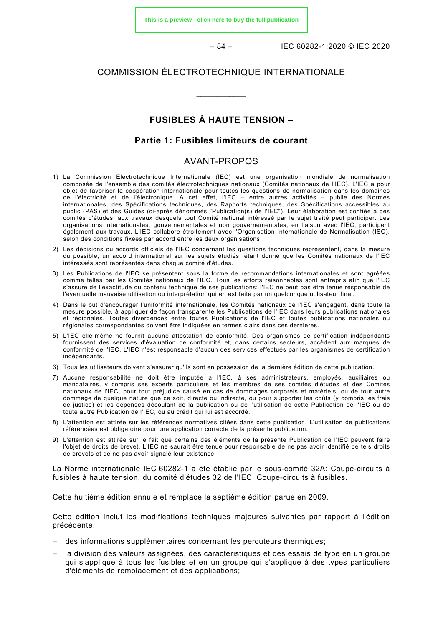**[This is a preview - click here to buy the full publication](https://webstore.iec.ch/publication/59817&preview)**

– 84 – IEC 60282-1:2020 © IEC 2020

# COMMISSION ÉLECTROTECHNIQUE INTERNATIONALE

\_\_\_\_\_\_\_\_\_\_\_\_

# **FUSIBLES À HAUTE TENSION –**

#### **Partie 1: Fusibles limiteurs de courant**

#### AVANT-PROPOS

- <span id="page-12-0"></span>1) La Commission Electrotechnique Internationale (IEC) est une organisation mondiale de normalisation composée de l'ensemble des comités électrotechniques nationaux (Comités nationaux de l'IEC). L'IEC a pour objet de favoriser la coopération internationale pour toutes les questions de normalisation dans les domaines de l'électricité et de l'électronique. A cet effet, l'IEC – entre autres activités – publie des Normes internationales, des Spécifications techniques, des Rapports techniques, des Spécifications accessibles au public (PAS) et des Guides (ci-après dénommés "Publication(s) de l'IEC"). Leur élaboration est confiée à des comités d'études, aux travaux desquels tout Comité national intéressé par le sujet traité peut participer. Les organisations internationales, gouvernementales et non gouvernementales, en liaison avec l'IEC, participent également aux travaux. L'IEC collabore étroitement avec l'Organisation Internationale de Normalisation (ISO), selon des conditions fixées par accord entre les deux organisations.
- 2) Les décisions ou accords officiels de l'IEC concernant les questions techniques représentent, dans la mesure du possible, un accord international sur les sujets étudiés, étant donné que les Comités nationaux de l'IEC intéressés sont représentés dans chaque comité d'études.
- 3) Les Publications de l'IEC se présentent sous la forme de recommandations internationales et sont agréées comme telles par les Comités nationaux de l'IEC. Tous les efforts raisonnables sont entrepris afin que l'IEC s'assure de l'exactitude du contenu technique de ses publications; l'IEC ne peut pas être tenue responsable de l'éventuelle mauvaise utilisation ou interprétation qui en est faite par un quelconque utilisateur final.
- 4) Dans le but d'encourager l'uniformité internationale, les Comités nationaux de l'IEC s'engagent, dans toute la mesure possible, à appliquer de façon transparente les Publications de l'IEC dans leurs publications nationales et régionales. Toutes divergences entre toutes Publications de l'IEC et toutes publications nationales ou régionales correspondantes doivent être indiquées en termes clairs dans ces dernières.
- 5) L'IEC elle-même ne fournit aucune attestation de conformité. Des organismes de certification indépendants fournissent des services d'évaluation de conformité et, dans certains secteurs, accèdent aux marques de conformité de l'IEC. L'IEC n'est responsable d'aucun des services effectués par les organismes de certification indépendants.
- 6) Tous les utilisateurs doivent s'assurer qu'ils sont en possession de la dernière édition de cette publication.
- 7) Aucune responsabilité ne doit être imputée à l'IEC, à ses administrateurs, employés, auxiliaires ou mandataires, y compris ses experts particuliers et les membres de ses comités d'études et des Comités nationaux de l'IEC, pour tout préjudice causé en cas de dommages corporels et matériels, ou de tout autre dommage de quelque nature que ce soit, directe ou indirecte, ou pour supporter les coûts (y compris les frais de justice) et les dépenses découlant de la publication ou de l'utilisation de cette Publication de l'IEC ou de toute autre Publication de l'IEC, ou au crédit qui lui est accordé.
- 8) L'attention est attirée sur les références normatives citées dans cette publication. L'utilisation de publications référencées est obligatoire pour une application correcte de la présente publication.
- 9) L'attention est attirée sur le fait que certains des éléments de la présente Publication de l'IEC peuvent faire l'objet de droits de brevet. L'IEC ne saurait être tenue pour responsable de ne pas avoir identifié de tels droits de brevets et de ne pas avoir signalé leur existence.

La Norme internationale IEC 60282-1 a été établie par le sous-comité 32A: Coupe-circuits à fusibles à haute tension, du comité d'études 32 de l'IEC: Coupe-circuits à fusibles.

Cette huitième édition annule et remplace la septième édition parue en 2009.

Cette édition inclut les modifications techniques majeures suivantes par rapport à l'édition précédente:

- des informations supplémentaires concernant les percuteurs thermiques;
- la division des valeurs assignées, des caractéristiques et des essais de type en un groupe qui s'applique à tous les fusibles et en un groupe qui s'applique à des types particuliers d'éléments de remplacement et des applications;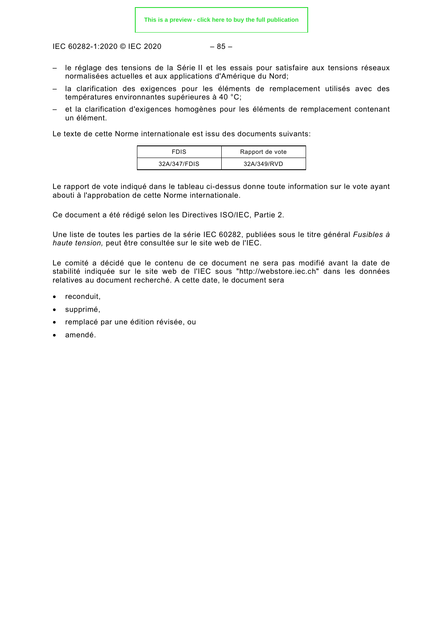IEC 60282-1:2020 © IEC 2020

$$
-85-
$$

- le réglage des tensions de la Série II et les essais pour satisfaire aux tensions réseaux normalisées actuelles et aux applications d'Amérique du Nord;
- la clarification des exigences pour les éléments de remplacement utilisés avec des températures environnantes supérieures à 40 °C;
- et la clarification d'exigences homogènes pour les éléments de remplacement contenant un élément.

Le texte de cette Norme internationale est issu des documents suivants:

| <b>FDIS</b>  | Rapport de vote |
|--------------|-----------------|
| 32A/347/FDIS | 32A/349/RVD     |

Le rapport de vote indiqué dans le tableau ci-dessus donne toute information sur le vote ayant abouti à l'approbation de cette Norme internationale.

Ce document a été rédigé selon les Directives ISO/IEC, Partie 2.

Une liste de toutes les parties de la série IEC 60282, publiées sous le titre général *Fusibles à haute tension,* peut être consultée sur le site web de l'IEC.

Le comité a décidé que le contenu de ce document ne sera pas modifié avant la date de stabilité indiquée sur le site web de l'IEC sous "http://webstore.iec.ch" dans les données relatives au document recherché. A cette date, le document sera

- reconduit,
- supprimé,
- remplacé par une édition révisée, ou
- amendé.